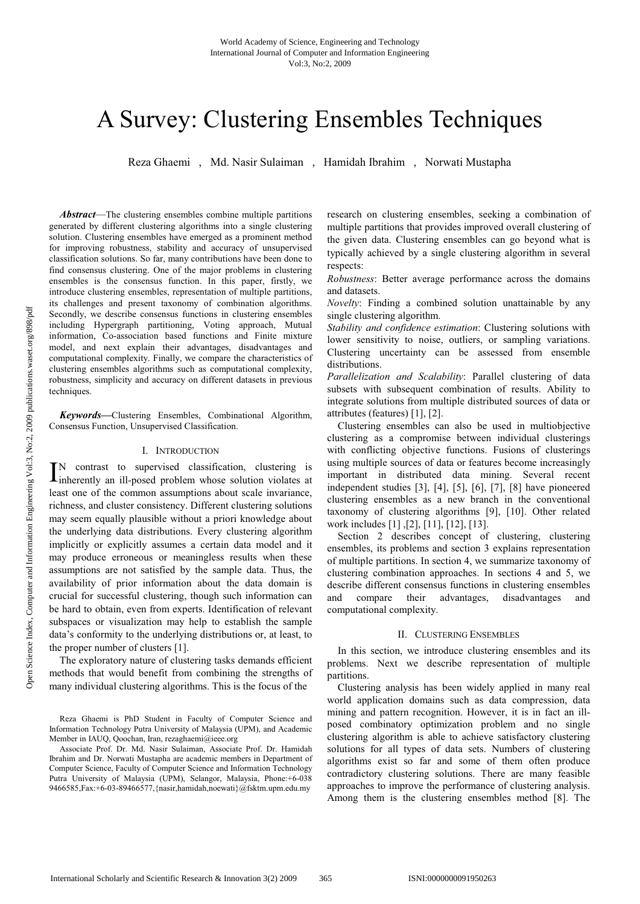# A Survey: Clustering Ensembles Techniques

Reza Ghaemi , Md. Nasir Sulaiman , Hamidah Ibrahim , Norwati Mustapha

*Abstract*—The clustering ensembles combine multiple partitions generated by different clustering algorithms into a single clustering solution. Clustering ensembles have emerged as a prominent method for improving robustness, stability and accuracy of unsupervised classification solutions. So far, many contributions have been done to find consensus clustering. One of the major problems in clustering ensembles is the consensus function. In this paper, firstly, we introduce clustering ensembles, representation of multiple partitions, its challenges and present taxonomy of combination algorithms. Secondly, we describe consensus functions in clustering ensembles including Hypergraph partitioning, Voting approach, Mutual information, Co-association based functions and Finite mixture model, and next explain their advantages, disadvantages and computational complexity. Finally, we compare the characteristics of clustering ensembles algorithms such as computational complexity, robustness, simplicity and accuracy on different datasets in previous techniques.

*Keywords***—**Clustering Ensembles, Combinational Algorithm, Consensus Function, Unsupervised Classification.

#### I. INTRODUCTION

N contrast to supervised classification, clustering is IN contrast to supervised classification, clustering is inherently an ill-posed problem whose solution violates at least one of the common assumptions about scale invariance, richness, and cluster consistency. Different clustering solutions may seem equally plausible without a priori knowledge about the underlying data distributions. Every clustering algorithm implicitly or explicitly assumes a certain data model and it may produce erroneous or meaningless results when these assumptions are not satisfied by the sample data. Thus, the availability of prior information about the data domain is crucial for successful clustering, though such information can be hard to obtain, even from experts. Identification of relevant subspaces or visualization may help to establish the sample data's conformity to the underlying distributions or, at least, to the proper number of clusters [1].

The exploratory nature of clustering tasks demands efficient methods that would benefit from combining the strengths of many individual clustering algorithms. This is the focus of the

research on clustering ensembles, seeking a combination of multiple partitions that provides improved overall clustering of the given data. Clustering ensembles can go beyond what is typically achieved by a single clustering algorithm in several respects:

*Robustness*: Better average performance across the domains and datasets.

*Novelty*: Finding a combined solution unattainable by any single clustering algorithm.

*Stability and confidence estimation*: Clustering solutions with lower sensitivity to noise, outliers, or sampling variations. Clustering uncertainty can be assessed from ensemble distributions.

*Parallelization and Scalability*: Parallel clustering of data subsets with subsequent combination of results. Ability to integrate solutions from multiple distributed sources of data or attributes (features) [1], [2].

Clustering ensembles can also be used in multiobjective clustering as a compromise between individual clusterings with conflicting objective functions. Fusions of clusterings using multiple sources of data or features become increasingly important in distributed data mining. Several recent independent studies [3], [4], [5], [6], [7], [8] have pioneered clustering ensembles as a new branch in the conventional taxonomy of clustering algorithms [9], [10]. Other related work includes [1] ,[2], [11], [12], [13].

Section 2 describes concept of clustering, clustering ensembles, its problems and section 3 explains representation of multiple partitions. In section 4, we summarize taxonomy of clustering combination approaches. In sections 4 and 5, we describe different consensus functions in clustering ensembles and compare their advantages, disadvantages and computational complexity.

#### II. CLUSTERING ENSEMBLES

In this section, we introduce clustering ensembles and its problems. Next we describe representation of multiple partitions.

Clustering analysis has been widely applied in many real world application domains such as data compression, data mining and pattern recognition. However, it is in fact an illposed combinatory optimization problem and no single clustering algorithm is able to achieve satisfactory clustering solutions for all types of data sets. Numbers of clustering algorithms exist so far and some of them often produce contradictory clustering solutions. There are many feasible approaches to improve the performance of clustering analysis. Among them is the clustering ensembles method [8]. The

Reza Ghaemi is PhD Student in Faculty of Computer Science and Information Technology Putra University of Malaysia (UPM), and Academic Member in IAUQ, Qoochan, Iran, rezaghaemi@ieee.org

Associate Prof. Dr. Md. Nasir Sulaiman, Associate Prof. Dr. Hamidah Ibrahim and Dr. Norwati Mustapha are academic members in Department of Computer Science, Faculty of Computer Science and Information Technology Putra University of Malaysia (UPM), Selangor, Malaysia, Phone:+6-038 9466585,Fax:+6-03-89466577,{nasir,hamidah,noewati}@fsktm.upm.edu.my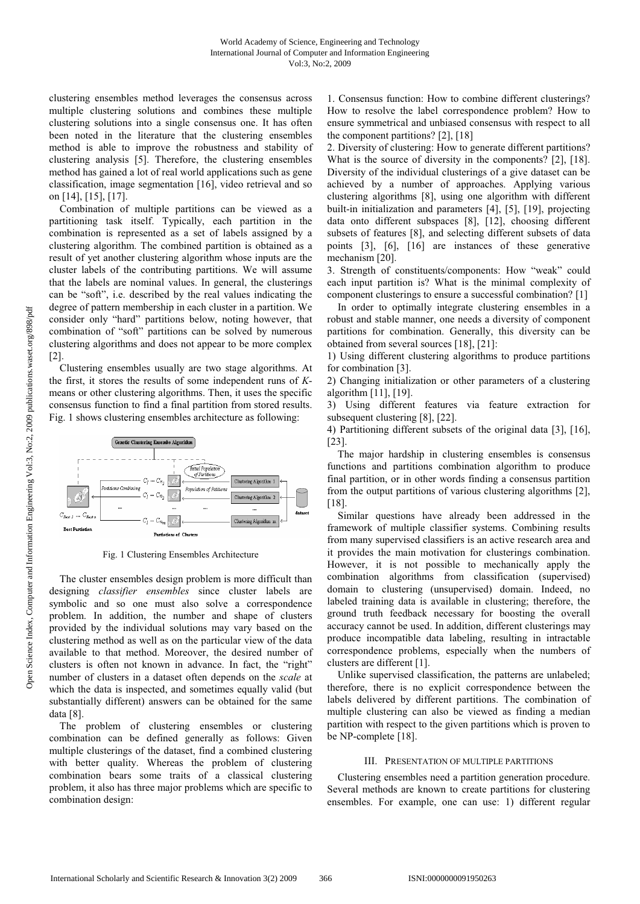clustering ensembles method leverages the consensus across multiple clustering solutions and combines these multiple clustering solutions into a single consensus one. It has often been noted in the literature that the clustering ensembles method is able to improve the robustness and stability of clustering analysis [5]. Therefore, the clustering ensembles method has gained a lot of real world applications such as gene classification, image segmentation [16], video retrieval and so on [14], [15], [17].

Combination of multiple partitions can be viewed as a partitioning task itself. Typically, each partition in the combination is represented as a set of labels assigned by a clustering algorithm. The combined partition is obtained as a result of yet another clustering algorithm whose inputs are the cluster labels of the contributing partitions. We will assume that the labels are nominal values. In general, the clusterings can be "soft", i.e. described by the real values indicating the degree of pattern membership in each cluster in a partition. We consider only "hard" partitions below, noting however, that combination of "soft" partitions can be solved by numerous clustering algorithms and does not appear to be more complex [2].

Clustering ensembles usually are two stage algorithms. At the first, it stores the results of some independent runs of *K*means or other clustering algorithms. Then, it uses the specific consensus function to find a final partition from stored results. Fig. 1 shows clustering ensembles architecture as following:



Fig. 1 Clustering Ensembles Architecture

The cluster ensembles design problem is more difficult than designing *classifier ensembles* since cluster labels are symbolic and so one must also solve a correspondence problem. In addition, the number and shape of clusters provided by the individual solutions may vary based on the clustering method as well as on the particular view of the data available to that method. Moreover, the desired number of clusters is often not known in advance. In fact, the "right" number of clusters in a dataset often depends on the *scale* at which the data is inspected, and sometimes equally valid (but substantially different) answers can be obtained for the same data [8].

The problem of clustering ensembles or clustering combination can be defined generally as follows: Given multiple clusterings of the dataset, find a combined clustering with better quality. Whereas the problem of clustering combination bears some traits of a classical clustering problem, it also has three major problems which are specific to combination design:

1. Consensus function: How to combine different clusterings? How to resolve the label correspondence problem? How to ensure symmetrical and unbiased consensus with respect to all the component partitions? [2], [18]

2. Diversity of clustering: How to generate different partitions? What is the source of diversity in the components? [2], [18]. Diversity of the individual clusterings of a give dataset can be achieved by a number of approaches. Applying various clustering algorithms [8], using one algorithm with different built-in initialization and parameters [4], [5], [19], projecting data onto different subspaces [8], [12], choosing different subsets of features [8], and selecting different subsets of data points [3], [6], [16] are instances of these generative mechanism [20].

3. Strength of constituents/components: How "weak" could each input partition is? What is the minimal complexity of component clusterings to ensure a successful combination? [1]

In order to optimally integrate clustering ensembles in a robust and stable manner, one needs a diversity of component partitions for combination. Generally, this diversity can be obtained from several sources [18], [21]:

1) Using different clustering algorithms to produce partitions for combination [3].

2) Changing initialization or other parameters of a clustering algorithm [11], [19].

3) Using different features via feature extraction for subsequent clustering [8], [22].

4) Partitioning different subsets of the original data [3], [16], [23].

The major hardship in clustering ensembles is consensus functions and partitions combination algorithm to produce final partition, or in other words finding a consensus partition from the output partitions of various clustering algorithms [2], [18].

Similar questions have already been addressed in the framework of multiple classifier systems. Combining results from many supervised classifiers is an active research area and it provides the main motivation for clusterings combination. However, it is not possible to mechanically apply the combination algorithms from classification (supervised) domain to clustering (unsupervised) domain. Indeed, no labeled training data is available in clustering; therefore, the ground truth feedback necessary for boosting the overall accuracy cannot be used. In addition, different clusterings may produce incompatible data labeling, resulting in intractable correspondence problems, especially when the numbers of clusters are different [1].

Unlike supervised classification, the patterns are unlabeled; therefore, there is no explicit correspondence between the labels delivered by different partitions. The combination of multiple clustering can also be viewed as finding a median partition with respect to the given partitions which is proven to be NP-complete [18].

## III. PRESENTATION OF MULTIPLE PARTITIONS

Clustering ensembles need a partition generation procedure. Several methods are known to create partitions for clustering ensembles. For example, one can use: 1) different regular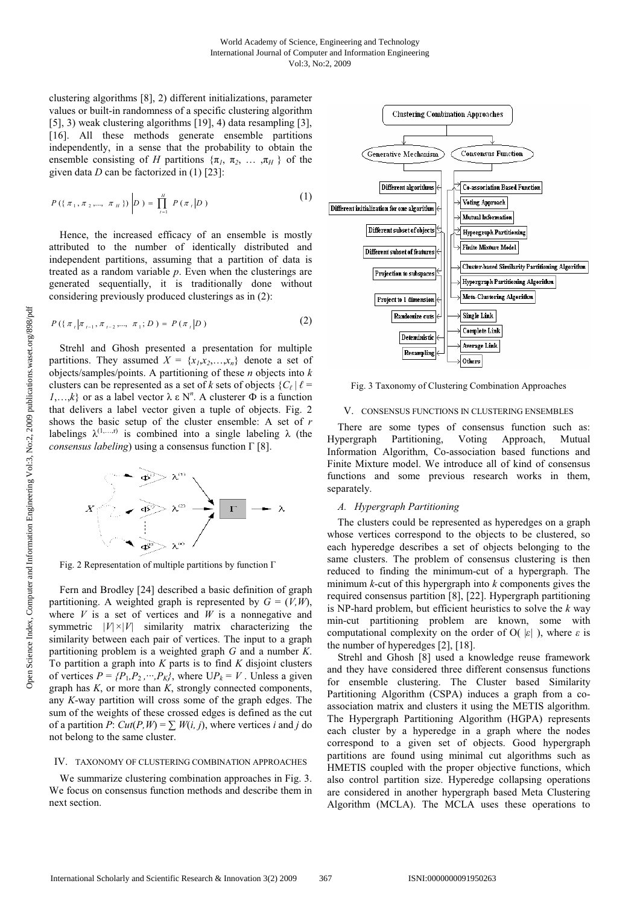clustering algorithms [8], 2) different initializations, parameter values or built-in randomness of a specific clustering algorithm [5], 3) weak clustering algorithms [19], 4) data resampling [3], [16]. All these methods generate ensemble partitions independently, in a sense that the probability to obtain the ensemble consisting of *H* partitions  $\{\pi_1, \pi_2, \dots, \pi_H\}$  of the given data *D* can be factorized in (1) [23]:

$$
P(\{\pi_1, \pi_2, ..., \pi_H\})\bigg|D = \prod_{i=1}^H P(\pi_i|D) \tag{1}
$$

Hence, the increased efficacy of an ensemble is mostly attributed to the number of identically distributed and independent partitions, assuming that a partition of data is treated as a random variable *p*. Even when the clusterings are generated sequentially, it is traditionally done without considering previously produced clusterings as in (2):

$$
P(\{\pi_{t}|\pi_{t-1},\pi_{t-2},...,\pi_{1};D)=P(\pi_{t}|D)
$$
 (2)

Strehl and Ghosh presented a presentation for multiple partitions. They assumed  $X = \{x_1, x_2, \ldots, x_n\}$  denote a set of objects/samples/points. A partitioning of these *n* objects into *k*  clusters can be represented as a set of *k* sets of objects  ${C_\ell | \ell}$ *1*,…,*k*} or as a label vector  $\lambda \varepsilon N^n$ . A clusterer  $\Phi$  is a function that delivers a label vector given a tuple of objects. Fig. 2 shows the basic setup of the cluster ensemble: A set of *r*  labelings  $\lambda^{(1,...,r)}$  is combined into a single labeling  $\lambda$  (the *consensus labeling*) using a consensus function Γ [8].



Fig. 2 Representation of multiple partitions by function Γ

Fern and Brodley [24] described a basic definition of graph partitioning. A weighted graph is represented by  $G = (V, W)$ , where  $V$  is a set of vertices and  $W$  is a nonnegative and symmetric  $|V| \times |V|$  similarity matrix characterizing the similarity between each pair of vertices. The input to a graph partitioning problem is a weighted graph *G* and a number *K*. To partition a graph into *K* parts is to find *K* disjoint clusters of vertices  $P = \{P_1, P_2, \dots, P_k\}$ , where  $UP_k = V$ . Unless a given graph has *K*, or more than *K*, strongly connected components, any *K*-way partition will cross some of the graph edges. The sum of the weights of these crossed edges is defined as the cut of a partition *P*:  $Cut(P, W) = \sum W(i, j)$ , where vertices *i* and *j* do not belong to the same cluster.

#### IV. TAXONOMY OF CLUSTERING COMBINATION APPROACHES

We summarize clustering combination approaches in Fig. 3. We focus on consensus function methods and describe them in next section.



Fig. 3 Taxonomy of Clustering Combination Approaches

## V. CONSENSUS FUNCTIONS IN CLUSTERING ENSEMBLES

There are some types of consensus function such as: Hypergraph Partitioning, Voting Approach, Mutual Information Algorithm, Co-association based functions and Finite Mixture model. We introduce all of kind of consensus functions and some previous research works in them, separately.

## *A. Hypergraph Partitioning*

The clusters could be represented as hyperedges on a graph whose vertices correspond to the objects to be clustered, so each hyperedge describes a set of objects belonging to the same clusters. The problem of consensus clustering is then reduced to finding the minimum-cut of a hypergraph. The minimum *k*-cut of this hypergraph into *k* components gives the required consensus partition [8], [22]. Hypergraph partitioning is NP-hard problem, but efficient heuristics to solve the *k* way min-cut partitioning problem are known, some with computational complexity on the order of O( |*ε|* ), where *ε* is the number of hyperedges [2], [18].

Strehl and Ghosh [8] used a knowledge reuse framework and they have considered three different consensus functions for ensemble clustering. The Cluster based Similarity Partitioning Algorithm (CSPA) induces a graph from a coassociation matrix and clusters it using the METIS algorithm. The Hypergraph Partitioning Algorithm (HGPA) represents each cluster by a hyperedge in a graph where the nodes correspond to a given set of objects. Good hypergraph partitions are found using minimal cut algorithms such as HMETIS coupled with the proper objective functions, which also control partition size. Hyperedge collapsing operations are considered in another hypergraph based Meta Clustering Algorithm (MCLA). The MCLA uses these operations to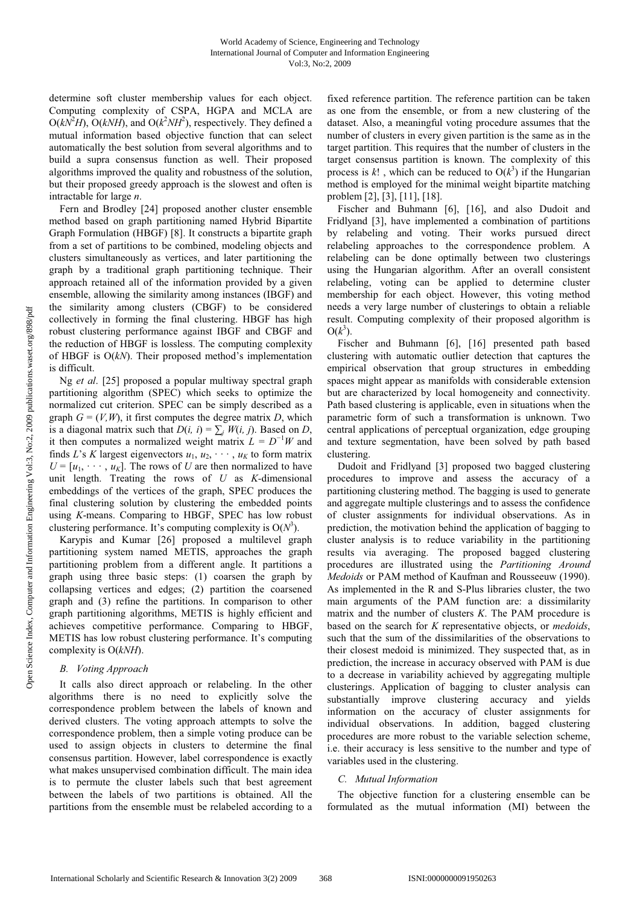determine soft cluster membership values for each object. Computing complexity of CSPA, HGPA and MCLA are  $O(k\overline{N^2}H)$ ,  $O(kNH)$ , and  $O(k^2NH^2)$ , respectively. They defined a mutual information based objective function that can select automatically the best solution from several algorithms and to build a supra consensus function as well. Their proposed algorithms improved the quality and robustness of the solution, but their proposed greedy approach is the slowest and often is intractable for large *n*.

Fern and Brodley [24] proposed another cluster ensemble method based on graph partitioning named Hybrid Bipartite Graph Formulation (HBGF) [8]. It constructs a bipartite graph from a set of partitions to be combined, modeling objects and clusters simultaneously as vertices, and later partitioning the graph by a traditional graph partitioning technique. Their approach retained all of the information provided by a given ensemble, allowing the similarity among instances (IBGF) and the similarity among clusters (CBGF) to be considered collectively in forming the final clustering. HBGF has high robust clustering performance against IBGF and CBGF and the reduction of HBGF is lossless. The computing complexity of HBGF is O(*kN*). Their proposed method's implementation is difficult.

Ng *et al*. [25] proposed a popular multiway spectral graph partitioning algorithm (SPEC) which seeks to optimize the normalized cut criterion. SPEC can be simply described as a graph  $G = (V, W)$ , it first computes the degree matrix *D*, which is a diagonal matrix such that  $D(i, i) = \sum_{i} W(i, i)$ . Based on *D*, it then computes a normalized weight matrix  $L = D^{-1}W$  and finds *L*'s *K* largest eigenvectors  $u_1, u_2, \dots, u_k$  to form matrix  $U = [u_1, \dots, u_k]$ . The rows of *U* are then normalized to have unit length. Treating the rows of *U* as *K-*dimensional embeddings of the vertices of the graph, SPEC produces the final clustering solution by clustering the embedded points using *K*-means. Comparing to HBGF, SPEC has low robust clustering performance. It's computing complexity is  $O(N^3)$ .

Karypis and Kumar [26] proposed a multilevel graph partitioning system named METIS, approaches the graph partitioning problem from a different angle. It partitions a graph using three basic steps: (1) coarsen the graph by collapsing vertices and edges; (2) partition the coarsened graph and (3) refine the partitions. In comparison to other graph partitioning algorithms, METIS is highly efficient and achieves competitive performance. Comparing to HBGF, METIS has low robust clustering performance. It's computing complexity is O(*kNH*).

## *B. Voting Approach*

It calls also direct approach or relabeling. In the other algorithms there is no need to explicitly solve the correspondence problem between the labels of known and derived clusters. The voting approach attempts to solve the correspondence problem, then a simple voting produce can be used to assign objects in clusters to determine the final consensus partition. However, label correspondence is exactly what makes unsupervised combination difficult. The main idea is to permute the cluster labels such that best agreement between the labels of two partitions is obtained. All the partitions from the ensemble must be relabeled according to a fixed reference partition. The reference partition can be taken as one from the ensemble, or from a new clustering of the dataset. Also, a meaningful voting procedure assumes that the number of clusters in every given partition is the same as in the target partition. This requires that the number of clusters in the target consensus partition is known. The complexity of this process is  $k!$ , which can be reduced to  $O(k^3)$  if the Hungarian method is employed for the minimal weight bipartite matching problem [2], [3], [11], [18].

Fischer and Buhmann [6], [16], and also Dudoit and Fridlyand [3], have implemented a combination of partitions by relabeling and voting. Their works pursued direct relabeling approaches to the correspondence problem. A relabeling can be done optimally between two clusterings using the Hungarian algorithm. After an overall consistent relabeling, voting can be applied to determine cluster membership for each object. However, this voting method needs a very large number of clusterings to obtain a reliable result. Computing complexity of their proposed algorithm is  $O(k^3)$ .

Fischer and Buhmann [6], [16] presented path based clustering with automatic outlier detection that captures the empirical observation that group structures in embedding spaces might appear as manifolds with considerable extension but are characterized by local homogeneity and connectivity. Path based clustering is applicable, even in situations when the parametric form of such a transformation is unknown. Two central applications of perceptual organization, edge grouping and texture segmentation, have been solved by path based clustering.

Dudoit and Fridlyand [3] proposed two bagged clustering procedures to improve and assess the accuracy of a partitioning clustering method. The bagging is used to generate and aggregate multiple clusterings and to assess the confidence of cluster assignments for individual observations. As in prediction, the motivation behind the application of bagging to cluster analysis is to reduce variability in the partitioning results via averaging. The proposed bagged clustering procedures are illustrated using the *Partitioning Around Medoids* or PAM method of Kaufman and Rousseeuw (1990). As implemented in the R and S-Plus libraries cluster, the two main arguments of the PAM function are: a dissimilarity matrix and the number of clusters *K*. The PAM procedure is based on the search for *K* representative objects, or *medoids*, such that the sum of the dissimilarities of the observations to their closest medoid is minimized. They suspected that, as in prediction, the increase in accuracy observed with PAM is due to a decrease in variability achieved by aggregating multiple clusterings. Application of bagging to cluster analysis can substantially improve clustering accuracy and yields information on the accuracy of cluster assignments for individual observations. In addition, bagged clustering procedures are more robust to the variable selection scheme, i.e. their accuracy is less sensitive to the number and type of variables used in the clustering.

## *C. Mutual Information*

The objective function for a clustering ensemble can be formulated as the mutual information (MI) between the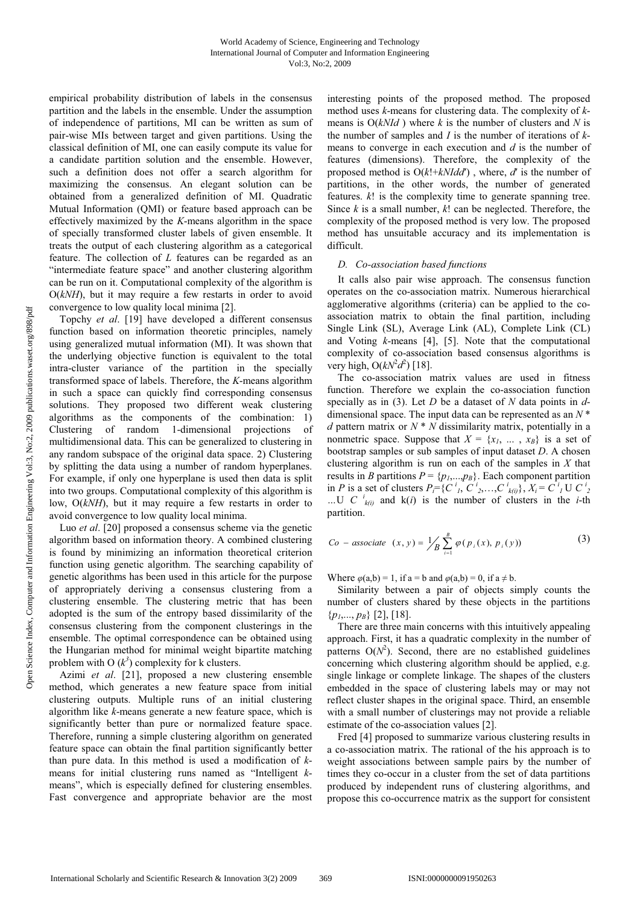empirical probability distribution of labels in the consensus partition and the labels in the ensemble. Under the assumption of independence of partitions, MI can be written as sum of pair-wise MIs between target and given partitions. Using the classical definition of MI, one can easily compute its value for a candidate partition solution and the ensemble. However, such a definition does not offer a search algorithm for maximizing the consensus. An elegant solution can be obtained from a generalized definition of MI. Quadratic Mutual Information (QMI) or feature based approach can be effectively maximized by the *K*-means algorithm in the space of specially transformed cluster labels of given ensemble. It treats the output of each clustering algorithm as a categorical feature. The collection of *L* features can be regarded as an "intermediate feature space" and another clustering algorithm can be run on it. Computational complexity of the algorithm is O(*kNH*), but it may require a few restarts in order to avoid convergence to low quality local minima [2].

Topchy *et al*. [19] have developed a different consensus function based on information theoretic principles, namely using generalized mutual information (MI). It was shown that the underlying objective function is equivalent to the total intra-cluster variance of the partition in the specially transformed space of labels. Therefore, the *K*-means algorithm in such a space can quickly find corresponding consensus solutions. They proposed two different weak clustering algorithms as the components of the combination: 1) Clustering of random 1-dimensional projections of multidimensional data. This can be generalized to clustering in any random subspace of the original data space. 2) Clustering by splitting the data using a number of random hyperplanes. For example, if only one hyperplane is used then data is split into two groups. Computational complexity of this algorithm is low,  $O(kNH)$ , but it may require a few restarts in order to avoid convergence to low quality local minima.

Luo *et al*. [20] proposed a consensus scheme via the genetic algorithm based on information theory. A combined clustering is found by minimizing an information theoretical criterion function using genetic algorithm. The searching capability of genetic algorithms has been used in this article for the purpose of appropriately deriving a consensus clustering from a clustering ensemble. The clustering metric that has been adopted is the sum of the entropy based dissimilarity of the consensus clustering from the component clusterings in the ensemble. The optimal correspondence can be obtained using the Hungarian method for minimal weight bipartite matching problem with O  $(k^3)$  complexity for k clusters.

Azimi *et al*. [21], proposed a new clustering ensemble method, which generates a new feature space from initial clustering outputs. Multiple runs of an initial clustering algorithm like *k*-means generate a new feature space, which is significantly better than pure or normalized feature space. Therefore, running a simple clustering algorithm on generated feature space can obtain the final partition significantly better than pure data. In this method is used a modification of *k*means for initial clustering runs named as "Intelligent *k*means", which is especially defined for clustering ensembles. Fast convergence and appropriate behavior are the most interesting points of the proposed method. The proposed method uses *k*-means for clustering data. The complexity of *k*means is  $O(kNId)$  where *k* is the number of clusters and *N* is the number of samples and *I* is the number of iterations of *k*means to converge in each execution and *d* is the number of features (dimensions). Therefore, the complexity of the proposed method is O(*k*!+*kNIdd*′) , where, *d*′ is the number of partitions, in the other words, the number of generated features. *k*! is the complexity time to generate spanning tree. Since *k* is a small number, *k*! can be neglected. Therefore, the complexity of the proposed method is very low. The proposed method has unsuitable accuracy and its implementation is difficult.

## *D. Co-association based functions*

It calls also pair wise approach. The consensus function operates on the co-association matrix. Numerous hierarchical agglomerative algorithms (criteria) can be applied to the coassociation matrix to obtain the final partition, including Single Link (SL), Average Link (AL), Complete Link (CL) and Voting *k*-means [4], [5]. Note that the computational complexity of co-association based consensus algorithms is very high,  $O(kN^2d^2)$  [18].

The co-association matrix values are used in fitness function. Therefore we explain the co-association function specially as in (3). Let *D* be a dataset of *N* data points in *d*dimensional space. The input data can be represented as an *N* \* *d* pattern matrix or *N* \* *N* dissimilarity matrix, potentially in a nonmetric space. Suppose that  $X = \{x_1, \ldots, x_B\}$  is a set of bootstrap samples or sub samples of input dataset *D*. A chosen clustering algorithm is run on each of the samples in *X* that results in *B* partitions  $P = \{p_1, ..., p_B\}$ . Each component partition in *P* is a set of clusters  $P_i = \{C_i^i, C_i^i, C_i^i, C_i^i\}, X_i = C_i^i$  U  $C_i^i$ …U *C*  $^{i}$ <sub>*k(i)*</sub> and *k(i)* is the number of clusters in the *i*-th partition.

$$
Co - associate (x, y) = \frac{1}{B} \sum_{i=1}^{B} \varphi(p_i(x), p_i(y))
$$
 (3)

Where  $\varphi$ (a,b) = 1, if a = b and  $\varphi$ (a,b) = 0, if a  $\neq$  b.

Similarity between a pair of objects simply counts the number of clusters shared by these objects in the partitions  $\{p_1, \ldots, p_B\}$  [2], [18].

There are three main concerns with this intuitively appealing approach. First, it has a quadratic complexity in the number of patterns  $O(N^2)$ . Second, there are no established guidelines concerning which clustering algorithm should be applied, e.g. single linkage or complete linkage. The shapes of the clusters embedded in the space of clustering labels may or may not reflect cluster shapes in the original space. Third, an ensemble with a small number of clusterings may not provide a reliable estimate of the co-association values [2].

Fred [4] proposed to summarize various clustering results in a co-association matrix. The rational of the his approach is to weight associations between sample pairs by the number of times they co-occur in a cluster from the set of data partitions produced by independent runs of clustering algorithms, and propose this co-occurrence matrix as the support for consistent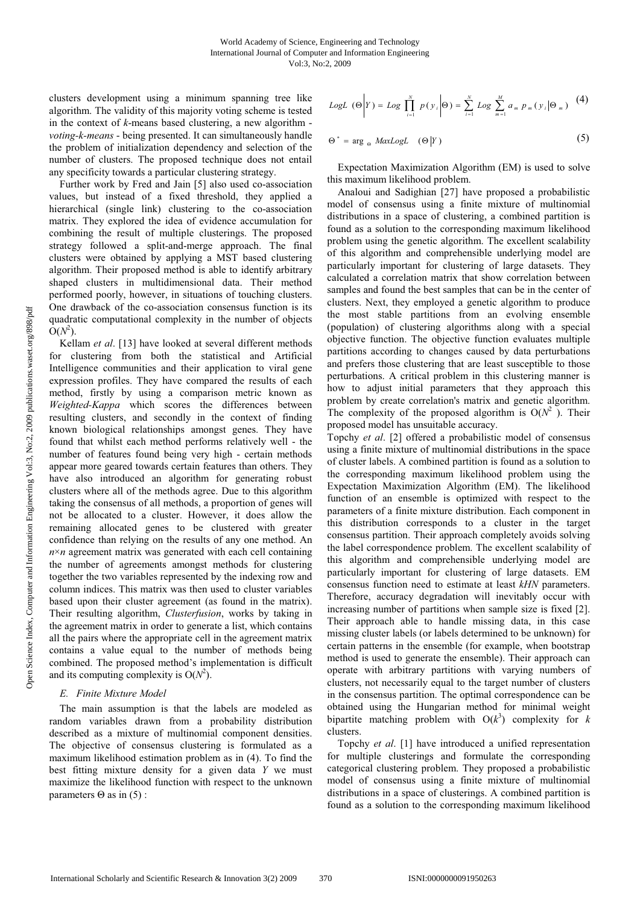clusters development using a minimum spanning tree like algorithm. The validity of this majority voting scheme is tested in the context of *k*-means based clustering, a new algorithm *voting-k-means* - being presented. It can simultaneously handle the problem of initialization dependency and selection of the number of clusters. The proposed technique does not entail any specificity towards a particular clustering strategy.

Further work by Fred and Jain [5] also used co-association values, but instead of a fixed threshold, they applied a hierarchical (single link) clustering to the co-association matrix. They explored the idea of evidence accumulation for combining the result of multiple clusterings. The proposed strategy followed a split-and-merge approach. The final clusters were obtained by applying a MST based clustering algorithm. Their proposed method is able to identify arbitrary shaped clusters in multidimensional data. Their method performed poorly, however, in situations of touching clusters. One drawback of the co-association consensus function is its quadratic computational complexity in the number of objects  $\overline{O}(N^2)$ .

Kellam *et al*. [13] have looked at several different methods for clustering from both the statistical and Artificial Intelligence communities and their application to viral gene expression profiles. They have compared the results of each method, firstly by using a comparison metric known as *Weighted-Kappa* which scores the differences between resulting clusters, and secondly in the context of finding known biological relationships amongst genes. They have found that whilst each method performs relatively well - the number of features found being very high - certain methods appear more geared towards certain features than others. They have also introduced an algorithm for generating robust clusters where all of the methods agree. Due to this algorithm taking the consensus of all methods, a proportion of genes will not be allocated to a cluster. However, it does allow the remaining allocated genes to be clustered with greater confidence than relying on the results of any one method. An  $n \times n$  agreement matrix was generated with each cell containing the number of agreements amongst methods for clustering together the two variables represented by the indexing row and column indices. This matrix was then used to cluster variables based upon their cluster agreement (as found in the matrix). Their resulting algorithm, *Clusterfusion*, works by taking in the agreement matrix in order to generate a list, which contains all the pairs where the appropriate cell in the agreement matrix contains a value equal to the number of methods being combined. The proposed method's implementation is difficult and its computing complexity is  $O(N^2)$ .

#### *E. Finite Mixture Model*

The main assumption is that the labels are modeled as random variables drawn from a probability distribution described as a mixture of multinomial component densities. The objective of consensus clustering is formulated as a maximum likelihood estimation problem as in (4). To find the best fitting mixture density for a given data *Y* we must maximize the likelihood function with respect to the unknown parameters  $\Theta$  as in (5) :

LogL 
$$
(\Theta | Y) = Log \prod_{i=1}^{N} p(y_i | \Theta) = \sum_{i=1}^{N} Log \sum_{m=1}^{M} a_m p_m (y_i | \Theta_m)
$$
 (4)

$$
\Theta^* = \arg_{\Theta} MaxLogL \quad (\Theta|Y) \tag{5}
$$

Expectation Maximization Algorithm (EM) is used to solve this maximum likelihood problem.

Analoui and Sadighian [27] have proposed a probabilistic model of consensus using a finite mixture of multinomial distributions in a space of clustering, a combined partition is found as a solution to the corresponding maximum likelihood problem using the genetic algorithm. The excellent scalability of this algorithm and comprehensible underlying model are particularly important for clustering of large datasets. They calculated a correlation matrix that show correlation between samples and found the best samples that can be in the center of clusters. Next, they employed a genetic algorithm to produce the most stable partitions from an evolving ensemble (population) of clustering algorithms along with a special objective function. The objective function evaluates multiple partitions according to changes caused by data perturbations and prefers those clustering that are least susceptible to those perturbations. A critical problem in this clustering manner is how to adjust initial parameters that they approach this problem by create correlation's matrix and genetic algorithm. The complexity of the proposed algorithm is  $O(N^2)$ . Their proposed model has unsuitable accuracy.

Topchy *et al*. [2] offered a probabilistic model of consensus using a finite mixture of multinomial distributions in the space of cluster labels. A combined partition is found as a solution to the corresponding maximum likelihood problem using the Expectation Maximization Algorithm (EM). The likelihood function of an ensemble is optimized with respect to the parameters of a finite mixture distribution. Each component in this distribution corresponds to a cluster in the target consensus partition. Their approach completely avoids solving the label correspondence problem. The excellent scalability of this algorithm and comprehensible underlying model are particularly important for clustering of large datasets. EM consensus function need to estimate at least *kHN* parameters. Therefore, accuracy degradation will inevitably occur with increasing number of partitions when sample size is fixed [2]. Their approach able to handle missing data, in this case missing cluster labels (or labels determined to be unknown) for certain patterns in the ensemble (for example, when bootstrap method is used to generate the ensemble). Their approach can operate with arbitrary partitions with varying numbers of clusters, not necessarily equal to the target number of clusters in the consensus partition. The optimal correspondence can be obtained using the Hungarian method for minimal weight bipartite matching problem with  $O(k^3)$  complexity for *k* clusters.

Topchy *et al*. [1] have introduced a unified representation for multiple clusterings and formulate the corresponding categorical clustering problem. They proposed a probabilistic model of consensus using a finite mixture of multinomial distributions in a space of clusterings. A combined partition is found as a solution to the corresponding maximum likelihood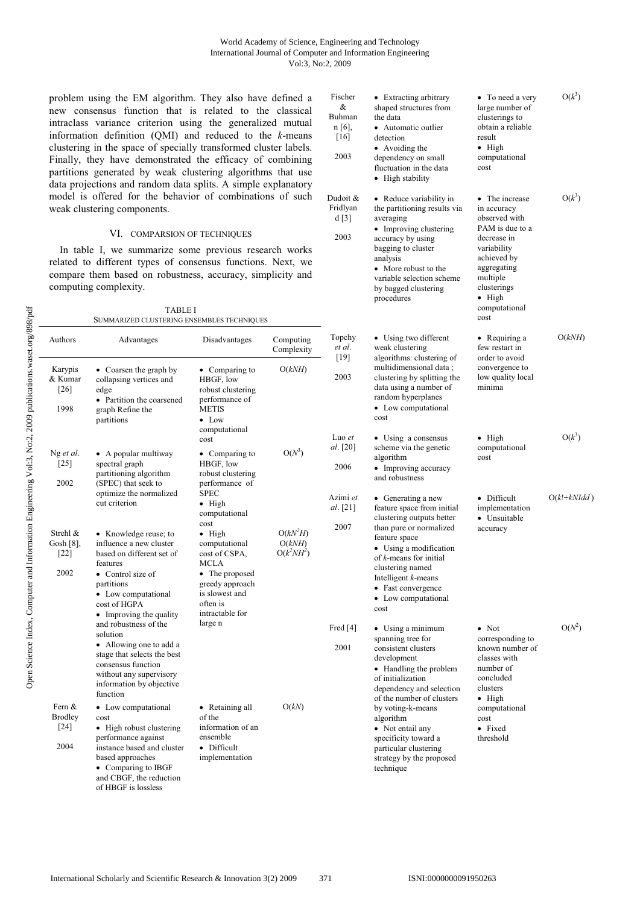## World Academy of Science, Engineering and Technology International Journal of Computer and Information Engineering Vol:3, No:2, 2009

Fischer & Buhman n [6], [16] 2003

Dudoit & Fridlyan • Extracting arbitrary shaped structures from • To need a very large number of clusterings to obtain a reliable result • High computational cost

• The increase in accuracy

 $O(k^3)$ 

 $O(k^3)$ 

• Automatic outlier

• Reduce variability in the partitioning results via

the data

detection • Avoiding the dependency on small fluctuation in the data • High stability

problem using the EM algorithm. They also have defined a new consensus function that is related to the classical intraclass variance criterion using the generalized mutual information definition (QMI) and reduced to the *k*-means clustering in the space of specially transformed cluster labels. Finally, they have demonstrated the efficacy of combining partitions generated by weak clustering algorithms that use data projections and random data splits. A simple explanatory model is offered for the behavior of combinations of such weak clustering components.

|                                                                                                                                                                                                                                                                             |                                                                                                                                                                                                                         |                                                                                                                                                           |                                      | d[3]                         | averaging                                                                                                                                                                            | observed with                                                                                                                |               |
|-----------------------------------------------------------------------------------------------------------------------------------------------------------------------------------------------------------------------------------------------------------------------------|-------------------------------------------------------------------------------------------------------------------------------------------------------------------------------------------------------------------------|-----------------------------------------------------------------------------------------------------------------------------------------------------------|--------------------------------------|------------------------------|--------------------------------------------------------------------------------------------------------------------------------------------------------------------------------------|------------------------------------------------------------------------------------------------------------------------------|---------------|
|                                                                                                                                                                                                                                                                             | VI. COMPARSION OF TECHNIQUES                                                                                                                                                                                            |                                                                                                                                                           |                                      | 2003                         | • Improving clustering<br>accuracy by using                                                                                                                                          | PAM is due to a<br>decrease in                                                                                               |               |
| In table I, we summarize some previous research works<br>related to different types of consensus functions. Next, we<br>compare them based on robustness, accuracy, simplicity and<br>computing complexity.<br><b>TABLE I</b><br>SUMMARIZED CLUSTERING ENSEMBLES TECHNIQUES |                                                                                                                                                                                                                         |                                                                                                                                                           |                                      |                              | bagging to cluster<br>analysis<br>• More robust to the<br>variable selection scheme<br>by bagged clustering<br>procedures                                                            | variability<br>achieved by<br>aggregating<br>multiple<br>clusterings<br>$\bullet$ High<br>computational<br>cost              |               |
| Authors                                                                                                                                                                                                                                                                     | Advantages                                                                                                                                                                                                              | Disadvantages                                                                                                                                             | Computing<br>Complexity              | Topchy<br>et al.             | • Using two different<br>weak clustering                                                                                                                                             | • Requiring a<br>few restart in                                                                                              | O(kNH)        |
| Karypis<br>& Kumar<br>[26]<br>1998                                                                                                                                                                                                                                          | • Coarsen the graph by<br>collapsing vertices and<br>edge<br>• Partition the coarsened<br>graph Refine the<br>partitions                                                                                                | • Comparing to<br>HBGF, low<br>robust clustering<br>performance of<br>METIS<br>$\bullet$ Low<br>computational                                             | O(kNH)                               | $[19]$<br>2003               | algorithms: clustering of<br>multidimensional data;<br>clustering by splitting the<br>data using a number of<br>random hyperplanes<br>• Low computational<br>cost                    | order to avoid<br>convergence to<br>low quality local<br>minima                                                              |               |
| Ng et al.<br>$[25]$<br>2002                                                                                                                                                                                                                                                 | • A popular multiway<br>spectral graph<br>partitioning algorithm<br>(SPEC) that seek to                                                                                                                                 | cost<br>$\bullet$ Comparing to<br>HBGF, low<br>robust clustering<br>performance of                                                                        | $O(N^3)$                             | Luo et<br>al. [20]<br>2006   | • Using a consensus<br>scheme via the genetic<br>algorithm<br>• Improving accuracy<br>and robustness                                                                                 | $\bullet$ High<br>computational<br>cost                                                                                      | $O(k^3)$      |
|                                                                                                                                                                                                                                                                             | optimize the normalized<br>cut criterion                                                                                                                                                                                | <b>SPEC</b><br>$\bullet$ High<br>computational<br>cost                                                                                                    |                                      | Azimi et<br>al. [21]<br>2007 | • Generating a new<br>feature space from initial<br>clustering outputs better<br>than pure or normalized                                                                             | • Difficult<br>implementation<br>• Unsuitable<br>accuracy                                                                    | $O(k!+kNIdd)$ |
| Strehl &<br>Gosh [8],<br>$\lceil 22 \rceil$<br>2002                                                                                                                                                                                                                         | • Knowledge reuse; to<br>influence a new cluster<br>based on different set of<br>features<br>• Control size of<br>partitions<br>• Low computational<br>cost of HGPA<br>• Improving the quality<br>and robustness of the | $\bullet$ High<br>computational<br>cost of CSPA,<br>MCLA<br>• The proposed<br>greedy approach<br>is slowest and<br>often is<br>intractable for<br>large n | $O(kN^2H)$<br>O(kNH)<br>$O(k^2NH^2)$ |                              | feature space<br>• Using a modification<br>of k-means for initial<br>clustering named<br>Intelligent $k$ -means<br>• Fast convergence<br>• Low computational<br>cost                 |                                                                                                                              |               |
|                                                                                                                                                                                                                                                                             | solution<br>• Allowing one to add a<br>stage that selects the best<br>consensus function<br>without any supervisory<br>information by objective<br>function                                                             |                                                                                                                                                           |                                      | Fred $[4]$<br>2001           | • Using a minimum<br>spanning tree for<br>consistent clusters<br>development<br>• Handling the problem<br>of initialization<br>dependency and selection<br>of the number of clusters | $\bullet$ Not<br>corresponding to<br>known number of<br>classes with<br>number of<br>concluded<br>clusters<br>$\bullet$ High | $O(N^2)$      |
| Fern &<br><b>Brodley</b><br>$[24]$<br>2004                                                                                                                                                                                                                                  | • Low computational<br>cost<br>• High robust clustering<br>performance against<br>instance based and cluster<br>based approaches<br>• Comparing to IBGF<br>and CBGF, the reduction<br>of HBGF is lossless               | • Retaining all<br>of the<br>information of an<br>ensemble<br>• Difficult<br>implementation                                                               | O(kN)                                |                              | by voting-k-means<br>algorithm<br>• Not entail any<br>specificity toward a<br>particular clustering<br>strategy by the proposed<br>technique                                         | computational<br>cost<br>• Fixed<br>threshold                                                                                |               |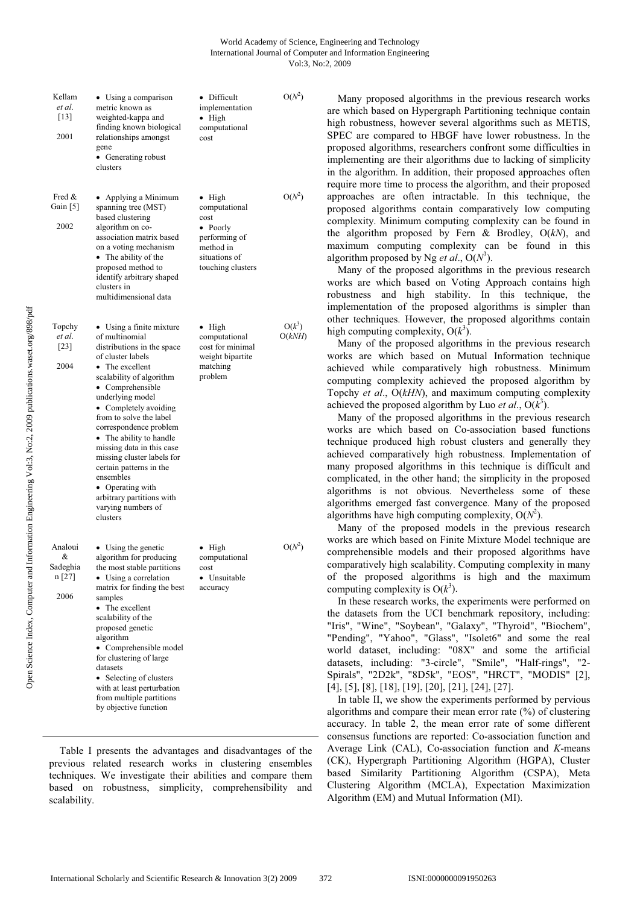| Kellam<br>et al.<br>$[13]$<br>2001         | • Using a comparison<br>metric known as<br>weighted-kappa and<br>finding known biological<br>relationships amongst<br>gene<br>• Generating robust<br>clusters                                                                                                                                                                                                                                                                                                                       | • Difficult<br>implementation<br>$\bullet$ High<br>computational<br>cost                                                | $O(N^2)$           |
|--------------------------------------------|-------------------------------------------------------------------------------------------------------------------------------------------------------------------------------------------------------------------------------------------------------------------------------------------------------------------------------------------------------------------------------------------------------------------------------------------------------------------------------------|-------------------------------------------------------------------------------------------------------------------------|--------------------|
| Fred &<br>Gain [5]<br>2002                 | Applying a Minimum<br>٠<br>spanning tree (MST)<br>based clustering<br>algorithm on co-<br>association matrix based<br>on a voting mechanism<br>• The ability of the<br>proposed method to<br>identify arbitrary shaped<br>clusters in<br>multidimensional data                                                                                                                                                                                                                      | $\bullet$ High<br>computational<br>cost<br>• Poorly<br>performing of<br>method in<br>situations of<br>touching clusters | $O(N^2)$           |
| Topchy<br>et al.<br>[23]<br>2004           | • Using a finite mixture<br>of multinomial<br>distributions in the space<br>of cluster labels<br>• The excellent<br>scalability of algorithm<br>• Comprehensible<br>underlying model<br>• Completely avoiding<br>from to solve the label<br>correspondence problem<br>• The ability to handle<br>missing data in this case<br>missing cluster labels for<br>certain patterns in the<br>ensembles<br>• Operating with<br>arbitrary partitions with<br>varying numbers of<br>clusters | • High<br>computational<br>cost for minimal<br>weight bipartite<br>matching<br>problem                                  | $O(k^3)$<br>O(kNH) |
| Analoui<br>&<br>Sadeghia<br>n [27]<br>2006 | • Using the genetic<br>algorithm for producing<br>the most stable partitions<br>• Using a correlation<br>matrix for finding the best<br>samples<br>• The excellent<br>scalability of the<br>proposed genetic<br>algorithm<br>• Comprehensible model<br>for clustering of large<br>datasets<br>Selecting of clusters<br>٠<br>with at least perturbation<br>from multiple partitions<br>by objective function                                                                         | $\bullet$ High<br>computational<br>cost<br>• Unsuitable<br>accuracy                                                     | $O(N^2)$           |

Table I presents the advantages and disadvantages of the previous related research works in clustering ensembles techniques. We investigate their abilities and compare them based on robustness, simplicity, comprehensibility and scalability.

Many proposed algorithms in the previous research works are which based on Hypergraph Partitioning technique contain high robustness, however several algorithms such as METIS, SPEC are compared to HBGF have lower robustness. In the proposed algorithms, researchers confront some difficulties in implementing are their algorithms due to lacking of simplicity in the algorithm. In addition, their proposed approaches often require more time to process the algorithm, and their proposed approaches are often intractable. In this technique, the proposed algorithms contain comparatively low computing complexity. Minimum computing complexity can be found in the algorithm proposed by Fern & Brodley, O(*kN*), and maximum computing complexity can be found in this algorithm proposed by Ng *et al.*,  $O(N^3)$ .

Many of the proposed algorithms in the previous research works are which based on Voting Approach contains high robustness and high stability. In this technique, the implementation of the proposed algorithms is simpler than other techniques. However, the proposed algorithms contain high computing complexity,  $O(k^3)$ .

Many of the proposed algorithms in the previous research works are which based on Mutual Information technique achieved while comparatively high robustness. Minimum computing complexity achieved the proposed algorithm by Topchy *et al*., O(*kHN*), and maximum computing complexity achieved the proposed algorithm by Luo *et al.*,  $O(k^3)$ .

Many of the proposed algorithms in the previous research works are which based on Co-association based functions technique produced high robust clusters and generally they achieved comparatively high robustness. Implementation of many proposed algorithms in this technique is difficult and complicated, in the other hand; the simplicity in the proposed algorithms is not obvious. Nevertheless some of these algorithms emerged fast convergence. Many of the proposed algorithms have high computing complexity,  $O(N^2)$ .

Many of the proposed models in the previous research works are which based on Finite Mixture Model technique are comprehensible models and their proposed algorithms have comparatively high scalability. Computing complexity in many of the proposed algorithms is high and the maximum computing complexity is  $O(k^3)$ .

In these research works, the experiments were performed on the datasets from the UCI benchmark repository, including: "Iris", "Wine", "Soybean", "Galaxy", "Thyroid", "Biochem", "Pending", "Yahoo", "Glass", "Isolet6" and some the real world dataset, including: "08X" and some the artificial datasets, including: "3-circle", "Smile", "Half-rings", "2- Spirals", "2D2k", "8D5k", "EOS", "HRCT", "MODIS" [2], [4], [5], [8], [18], [19], [20], [21], [24], [27].

In table II, we show the experiments performed by pervious algorithms and compare their mean error rate (%) of clustering accuracy. In table 2, the mean error rate of some different consensus functions are reported: Co-association function and Average Link (CAL), Co-association function and *K*-means (CK), Hypergraph Partitioning Algorithm (HGPA), Cluster based Similarity Partitioning Algorithm (CSPA), Meta Clustering Algorithm (MCLA), Expectation Maximization Algorithm (EM) and Mutual Information (MI).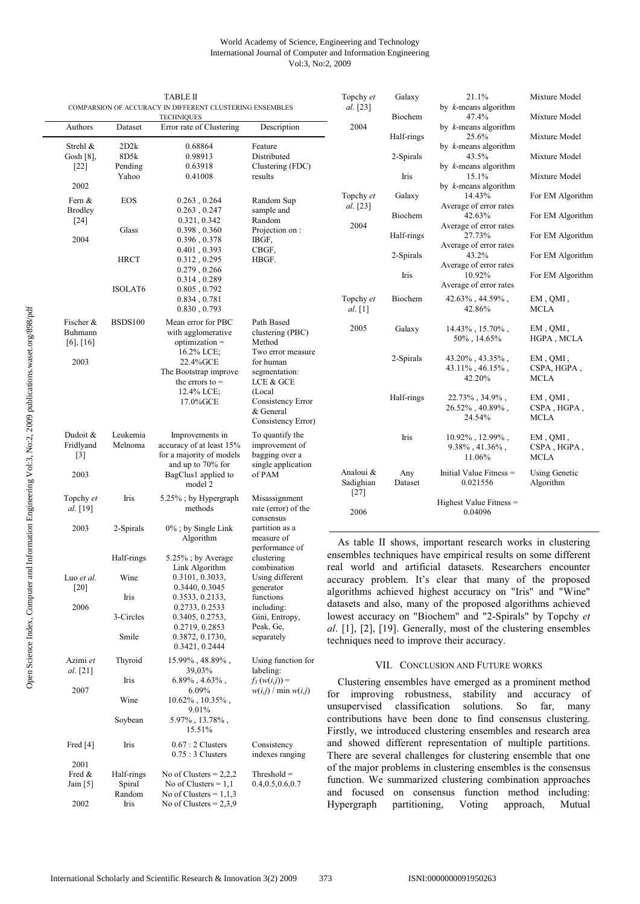## World Academy of Science, Engineering and Technology International Journal of Computer and Information Engineering Vol:3, No:2, 2009

|                           |                 | <b>TABLE II</b>                                                               |                                      | Topchy et                                                                                                                | Galaxy                | 21.1%                                                                                                                      | Mixture Model                     |  |
|---------------------------|-----------------|-------------------------------------------------------------------------------|--------------------------------------|--------------------------------------------------------------------------------------------------------------------------|-----------------------|----------------------------------------------------------------------------------------------------------------------------|-----------------------------------|--|
|                           |                 | COMPARSION OF ACCURACY IN DIFFERENT CLUSTERING ENSEMBLES<br><b>TECHNIQUES</b> |                                      | al. [23]                                                                                                                 | Biochem               | by $k$ -means algorithm<br>47.4%                                                                                           | Mixture Model                     |  |
| Authors                   | Dataset         | Error rate of Clustering                                                      | Description                          | 2004                                                                                                                     | Half-rings            | by $k$ -means algorithm<br>25.6%                                                                                           | Mixture Model                     |  |
| Strehl &                  | 2D2k            | 0.68864                                                                       | Feature                              |                                                                                                                          |                       | by $k$ -means algorithm                                                                                                    |                                   |  |
| Gosh $[8]$ ,<br>$[22]$    | 8D5k<br>Pending | 0.98913<br>0.63918                                                            | Distributed<br>Clustering (FDC)      |                                                                                                                          | 2-Spirals             | 43.5%<br>by $k$ -means algorithm                                                                                           | Mixture Model                     |  |
|                           | Yahoo           | 0.41008                                                                       | results                              |                                                                                                                          | Iris                  | 15.1%                                                                                                                      | Mixture Model                     |  |
| 2002                      |                 |                                                                               |                                      | Topchy et                                                                                                                | Galaxy                | by $k$ -means algorithm<br>14.43%                                                                                          | For EM Algorithm                  |  |
| Fern &<br><b>Brodley</b>  | EOS             | 0.263, 0.264<br>0.263, 0.247                                                  | Random Sup<br>sample and             | al. [23]                                                                                                                 |                       | Average of error rates                                                                                                     |                                   |  |
| $[24]$                    |                 | 0.321, 0.342                                                                  | Random                               | 2004                                                                                                                     | Biochem               | 42.63%<br>Average of error rates                                                                                           | For EM Algorithm                  |  |
| 2004                      | Glass           | 0.398, 0.360<br>0.396, 0.378                                                  | Projection on :<br>IBGF,             |                                                                                                                          | Half-rings            | 27.73%<br>Average of error rates                                                                                           | For EM Algorithm                  |  |
|                           | <b>HRCT</b>     | 0.401, 0.393<br>0.312, 0.295                                                  | CBGF,<br>HBGF.                       |                                                                                                                          | 2-Spirals             | 43.2%<br>Average of error rates                                                                                            | For EM Algorithm                  |  |
|                           |                 | 0.279, 0.266<br>0.314, 0.289                                                  |                                      |                                                                                                                          | Iris                  | 10.92%                                                                                                                     | For EM Algorithm                  |  |
|                           | <b>ISOLAT6</b>  | 0.805, 0.792                                                                  |                                      |                                                                                                                          |                       | Average of error rates                                                                                                     |                                   |  |
|                           |                 | 0.834, 0.781<br>0.830, 0.793                                                  |                                      | Topchy et<br>al. [1]                                                                                                     | Biochem               | $42.63\%$ , $44.59\%$ ,<br>42.86%                                                                                          | EM, QMI,<br>MCLA                  |  |
| Fischer &                 | <b>BSDS100</b>  | Mean error for PBC                                                            | Path Based                           | 2005                                                                                                                     | Galaxy                | $14.43\%$ , 15.70%,                                                                                                        | EM, QMI,                          |  |
| Buhmann<br>$[6]$ , $[16]$ |                 | with agglomerative<br>$optimization =$                                        | clustering (PBC)<br>Method           |                                                                                                                          |                       | $50\%$ , 14.65%                                                                                                            | HGPA, MCLA                        |  |
| 2003                      |                 | 16.2% LCE;<br>22.4% GCE                                                       | Two error measure<br>for human       |                                                                                                                          | 2-Spirals             | 43.20%, 43.35%,                                                                                                            | EM, QMI,                          |  |
|                           |                 | The Bootstrap improve                                                         | segmentation:                        |                                                                                                                          |                       | $43.11\%$ , $46.15\%$ ,                                                                                                    | CSPA, HGPA,                       |  |
|                           |                 | the errors to $=$                                                             | LCE & GCE                            |                                                                                                                          |                       | 42.20%                                                                                                                     | MCLA                              |  |
|                           |                 | $12.4\%$ LCE;<br>17.0%GCE                                                     | (Local<br>Consistency Error          |                                                                                                                          | Half-rings            | $22.73\%$ , $34.9\%$ ,                                                                                                     | EM, QMI,                          |  |
|                           |                 |                                                                               | & General<br>Consistency Error)      |                                                                                                                          |                       | $26.52\%$ , $40.89\%$ ,<br>24.54%                                                                                          | CSPA, HGPA,<br>MCLA               |  |
| Dudoit &                  | Leukemia        | Improvements in                                                               | To quantify the                      |                                                                                                                          | Iris                  | $10.92\%$ , 12.99%,                                                                                                        | EM, QMI,                          |  |
| Fridlyand                 | Melnoma         | accuracy of at least 15%                                                      | improvement of                       |                                                                                                                          |                       | $9.38\%$ , 41.36%,                                                                                                         | CSPA, HGPA,                       |  |
| $[3]$                     |                 | for a majority of models<br>and up to 70% for                                 | bagging over a<br>single application |                                                                                                                          |                       | 11.06%                                                                                                                     | <b>MCLA</b>                       |  |
| 2003                      |                 | BagClus1 applied to<br>model 2                                                | of PAM                               | Analoui &<br>Sadighian                                                                                                   | Any<br>Dataset        | Initial Value Fitness =<br>0.021556                                                                                        | <b>Using Genetic</b><br>Algorithm |  |
| Topchy et                 | Iris            | 5.25%; by Hypergraph                                                          | Misassignment                        | $[27]$                                                                                                                   |                       |                                                                                                                            |                                   |  |
| al. [19]                  |                 | methods                                                                       | rate (error) of the<br>consensus     | 2006                                                                                                                     |                       | Highest Value Fitness =<br>0.04096                                                                                         |                                   |  |
| 2003                      | 2-Spirals       | $0\%$ ; by Single Link<br>Algorithm                                           | partition as a<br>measure of         |                                                                                                                          |                       |                                                                                                                            |                                   |  |
|                           |                 |                                                                               | performance of                       |                                                                                                                          |                       | As table II shows, important research works in clustering                                                                  |                                   |  |
|                           | Half-rings      | 5.25%; by Average<br>Link Algorithm                                           | clustering<br>combination            |                                                                                                                          |                       | ensembles techniques have empirical results on some different<br>real world and artificial datasets. Researchers encounter |                                   |  |
| Luo et al.<br>$[20]$      | Wine            | 0.3101, 0.3033,<br>0.3440, 0.3045                                             | Using different<br>generator         |                                                                                                                          |                       | accuracy problem. It's clear that many of the proposed                                                                     |                                   |  |
|                           | Iris            | 0.3533, 0.2133,                                                               | functions                            |                                                                                                                          |                       | algorithms achieved highest accuracy on "Iris" and "Wine"                                                                  |                                   |  |
| 2006                      | 3-Circles       | 0.2733, 0.2533<br>0.3405, 0.2753,                                             | including:<br>Gini, Entropy,         | datasets and also, many of the proposed algorithms achieved<br>lowest accuracy on "Biochem" and "2-Spirals" by Topchy et |                       |                                                                                                                            |                                   |  |
|                           |                 | 0.2719, 0.2853                                                                | Peak, Ge,                            |                                                                                                                          |                       | al. [1], [2], [19]. Generally, most of the clustering ensembles                                                            |                                   |  |
|                           | Smile           | 0.3872, 0.1730,<br>0.3421, 0.2444                                             | separately                           |                                                                                                                          |                       | techniques need to improve their accuracy.                                                                                 |                                   |  |
| Azimi et<br>al. [21]      | Thyroid         | $15.99\%$ , $48.89\%$ ,<br>39,03%                                             | Using function for<br>labeling:      |                                                                                                                          |                       | VII. CONCLUSION AND FUTURE WORKS                                                                                           |                                   |  |
|                           | Iris            | $6.89\%$ , $4.63\%$ ,                                                         | $f_3(w(i,j)) =$                      |                                                                                                                          |                       | Clustering ensembles have emerged as a prominent method                                                                    |                                   |  |
| 2007                      | Wine            | $6.09\%$<br>$10.62\%$ , $10.35\%$ ,                                           | $w(i,j) / \min w(i,j)$               | for                                                                                                                      | improving robustness, | stability and                                                                                                              | accuracy of                       |  |
|                           |                 | 9.01%                                                                         |                                      | unsupervised                                                                                                             | classification        | solutions.<br>So<br>contributions have been done to find consensus clustering.                                             | far.<br>many                      |  |
|                           | Soybean         | $5.97\%$ , $13.78\%$ ,<br>15.51%                                              |                                      |                                                                                                                          |                       | Firstly, we introduced clustering ensembles and research area                                                              |                                   |  |
| Fred [4]                  | Iris            | $0.67:2$ Clusters                                                             | Consistency                          |                                                                                                                          |                       | and showed different representation of multiple partitions.                                                                |                                   |  |
| 2001                      |                 | $0.75:3$ Clusters                                                             | indexes ranging                      |                                                                                                                          |                       | There are several challenges for clustering ensemble that one                                                              |                                   |  |
|                           |                 |                                                                               | TL.                                  |                                                                                                                          |                       | of the major problems in clustering ensembles is the consensus                                                             |                                   |  |

function. We summarized clustering combination approaches and focused on consensus function method including: Hypergraph partitioning, Voting approach, Mutual